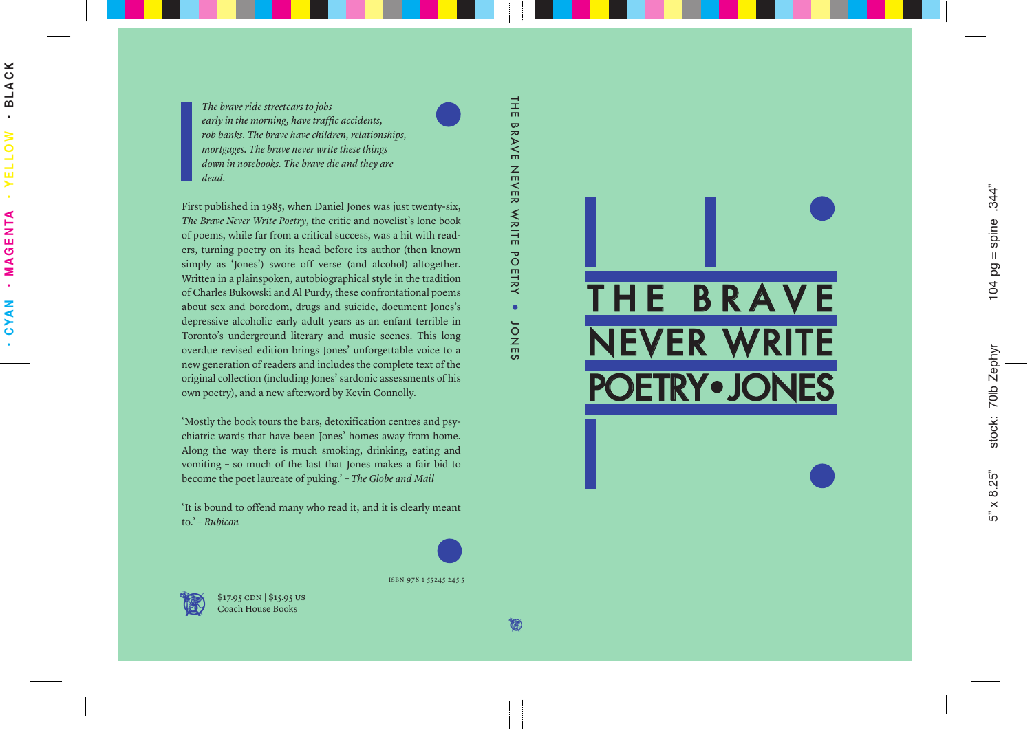

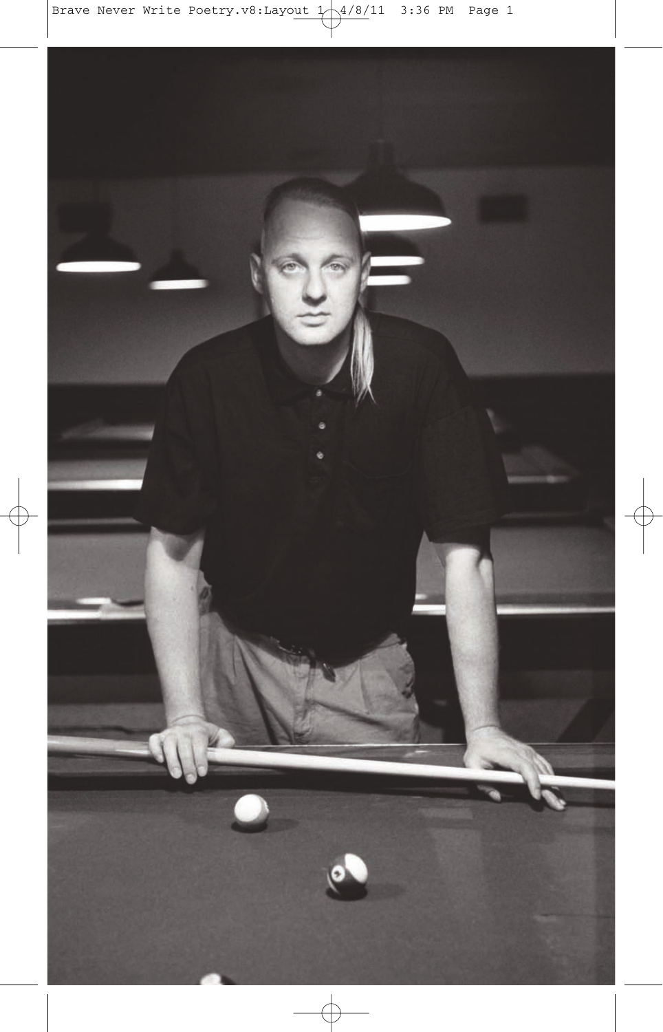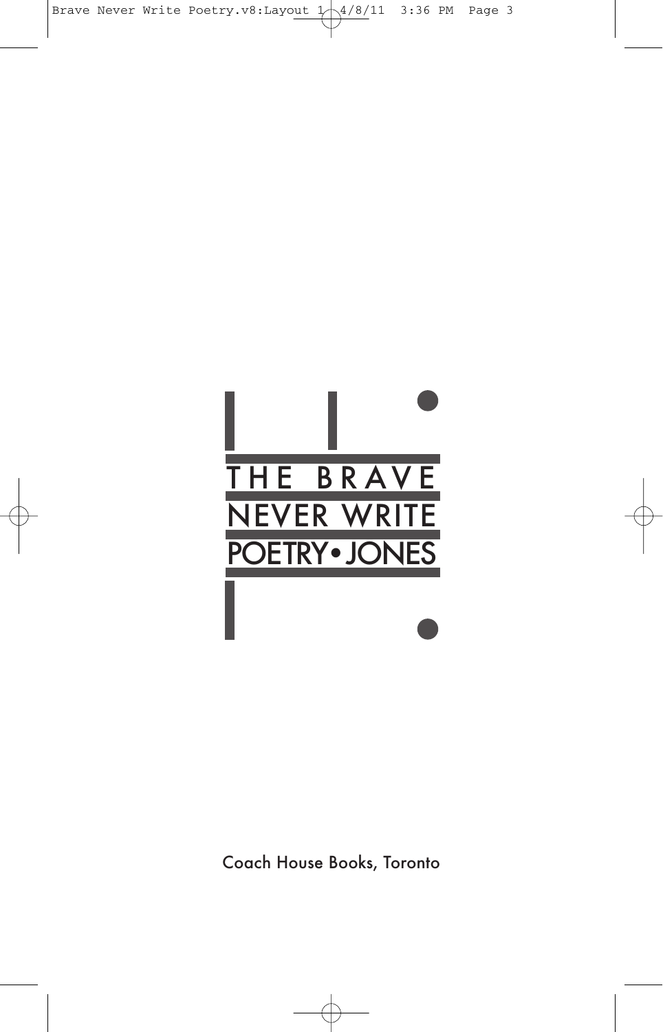

Coach House Books, Toronto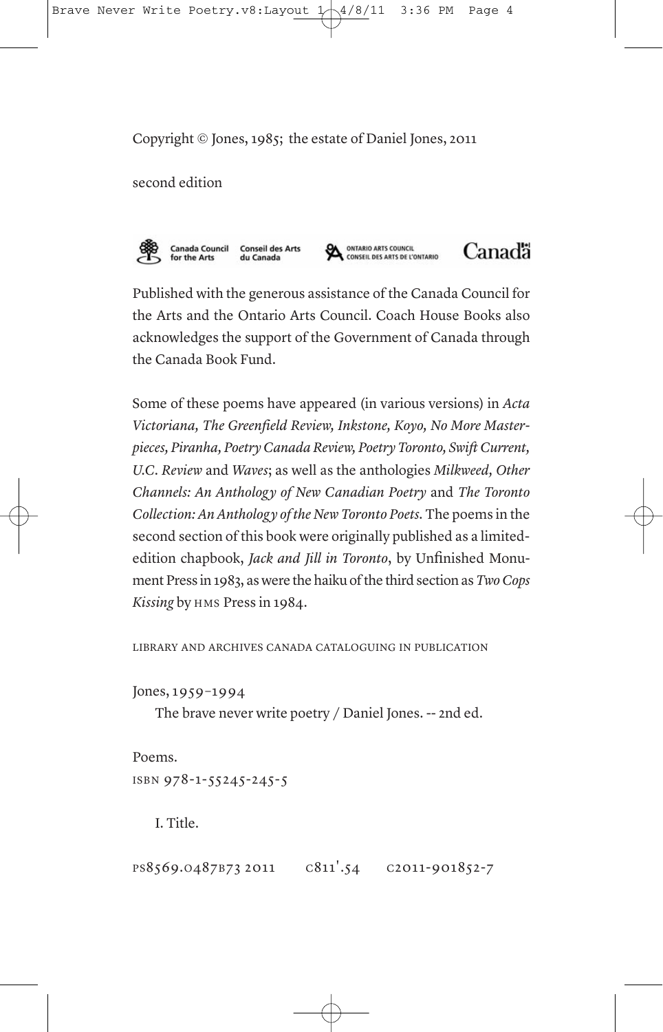Copyright © Jones, 1985; the estate of Daniel Jones, 2011

second edition



Published with the generous assistance of the Canada Council for the Arts and the Ontario Arts Council. Coach House Books also acknowledges the support of the Government of Canada through the Canada Book Fund.

Some of these poems have appeared (in various versions) in *Acta Victoriana, The Greenfield Review, Inkstone, Koyo, No More Masterpieces, Piranha, Poetry Canada Review, Poetry Toronto, Swift Current, U.C. Review* and *Waves*; as well as the anthologies *Milkweed, Other Channels: An Antholog y of New Canadian Poetry* and *The Toronto Collection: An Antholog y of the New Toronto Poets.* The poems in the second section of this book were originally published as a limitededition chapbook, *Jack and Jill in Toronto*, by Unfinished Monument Press in 1983, as were the haiku of the third section as*Two Cops Kissing* by HMS Press in 1984.

liBrAry AnD ArCHiveS CAnADA CATAlOGUinG in PUBliCATiOn

Jones, 1959 –1994

The brave never write poetry / Daniel Jones. -- 2nd ed.

Poems. iSBn 978-1- 55 245-245- 5

i. Title.

PS8569.O487B73 2011 C811'.54 C2011-901852-7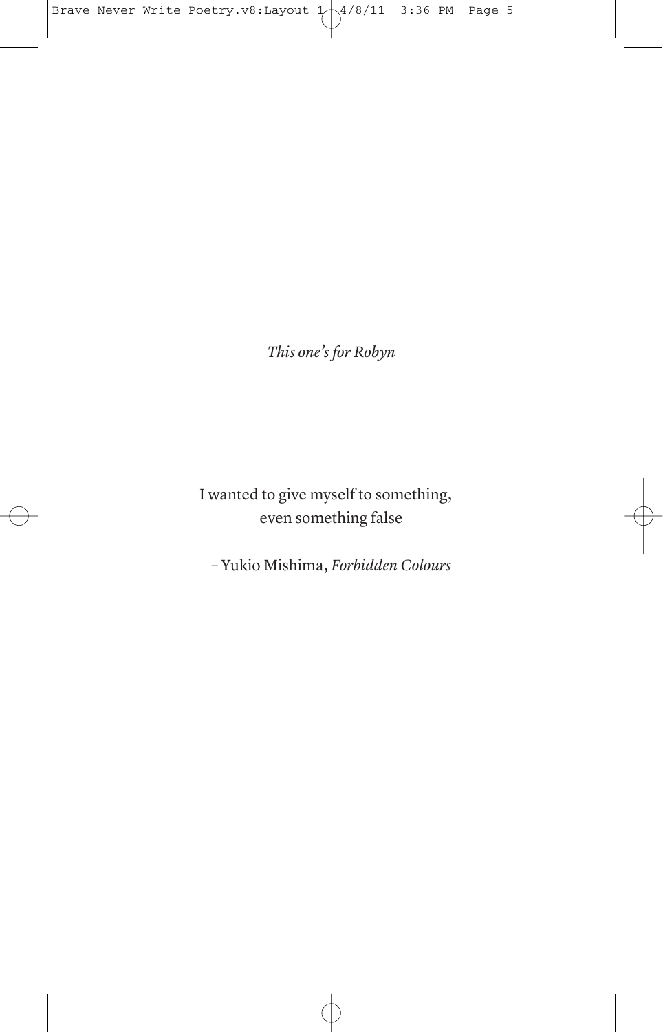*This one's for Robyn*

# I wanted to give myself to something, even something false

– yukio Mishima, *Forbidden Colours*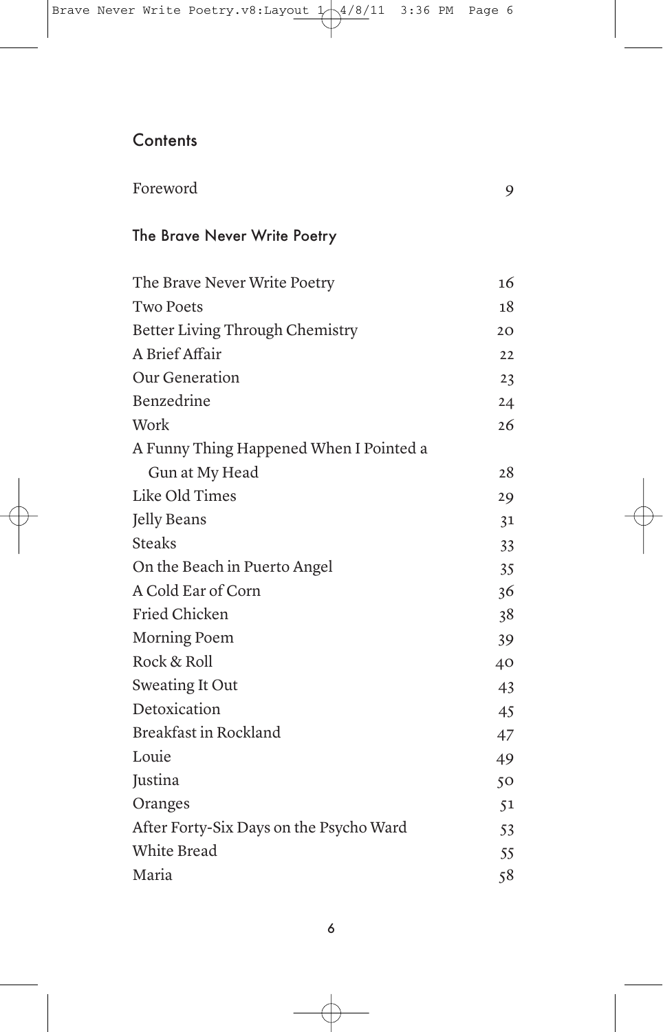## **Contents**

| Foreword                        |    |
|---------------------------------|----|
| The Brave Never Write Poetry    |    |
| The Brave Never Write Poetry    | 16 |
| <b>Two Poets</b>                | 18 |
| Better Living Through Chemistry | 20 |
|                                 |    |

| A Brief Affair                          | 22 |
|-----------------------------------------|----|
| Our Generation                          | 23 |
| Benzedrine                              | 24 |
| Work                                    | 26 |
| A Funny Thing Happened When I Pointed a |    |
| Gun at My Head                          | 28 |
| Like Old Times                          | 29 |
| Jelly Beans                             | 31 |
| <b>Steaks</b>                           | 33 |
| On the Beach in Puerto Angel            | 35 |
| A Cold Ear of Corn                      | 36 |
| Fried Chicken                           | 38 |
| Morning Poem                            | 39 |
| Rock & Roll                             | 40 |
| Sweating It Out                         | 43 |
| Detoxication                            | 45 |
| Breakfast in Rockland                   | 47 |
| Louie                                   | 49 |
| Justina                                 | 50 |
| Oranges                                 | 51 |
| After Forty-Six Days on the Psycho Ward | 53 |
| White Bread                             | 55 |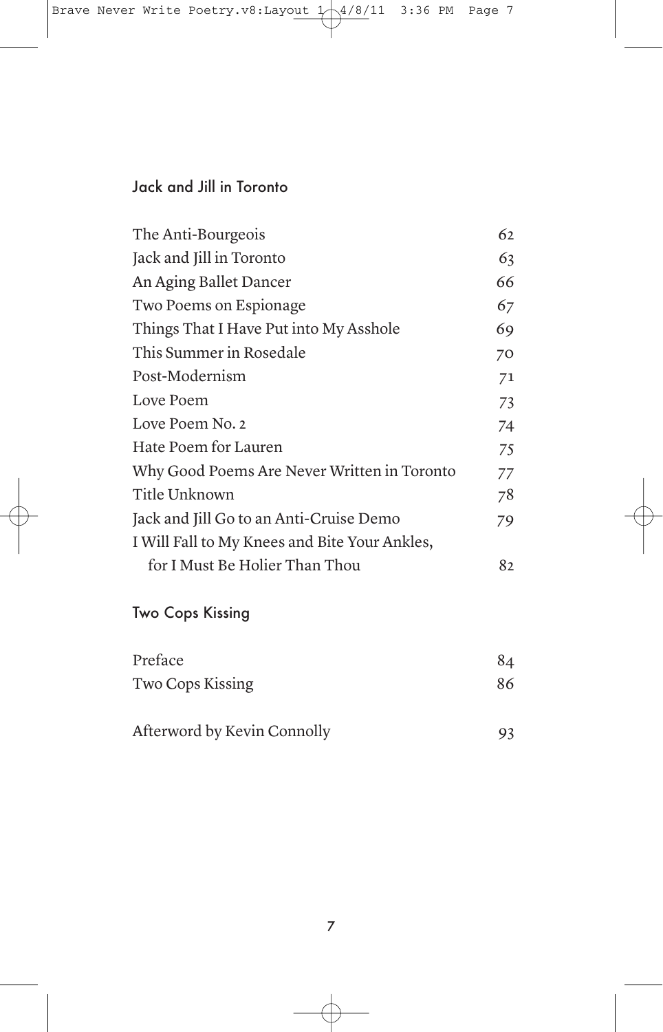## Jack and Jill in Toronto

| The Anti-Bourgeois                            | 62 |
|-----------------------------------------------|----|
| Jack and Jill in Toronto                      | 63 |
| An Aging Ballet Dancer                        | 66 |
| Two Poems on Espionage                        | 67 |
| Things That I Have Put into My Asshole        | 69 |
| This Summer in Rosedale                       | 70 |
| Post-Modernism                                | 71 |
| Love Poem                                     | 73 |
| Love Poem No. 2                               | 74 |
| Hate Poem for Lauren                          | 75 |
| Why Good Poems Are Never Written in Toronto   | 77 |
| Title Unknown                                 | 78 |
| Jack and Jill Go to an Anti-Cruise Demo       | 79 |
| I Will Fall to My Knees and Bite Your Ankles, |    |
| for I Must Be Holier Than Thou                | 82 |

# Two Cops Kissing

| Preface                     | 84 |
|-----------------------------|----|
| Two Cops Kissing            | 86 |
|                             |    |
| Afterword by Kevin Connolly | 93 |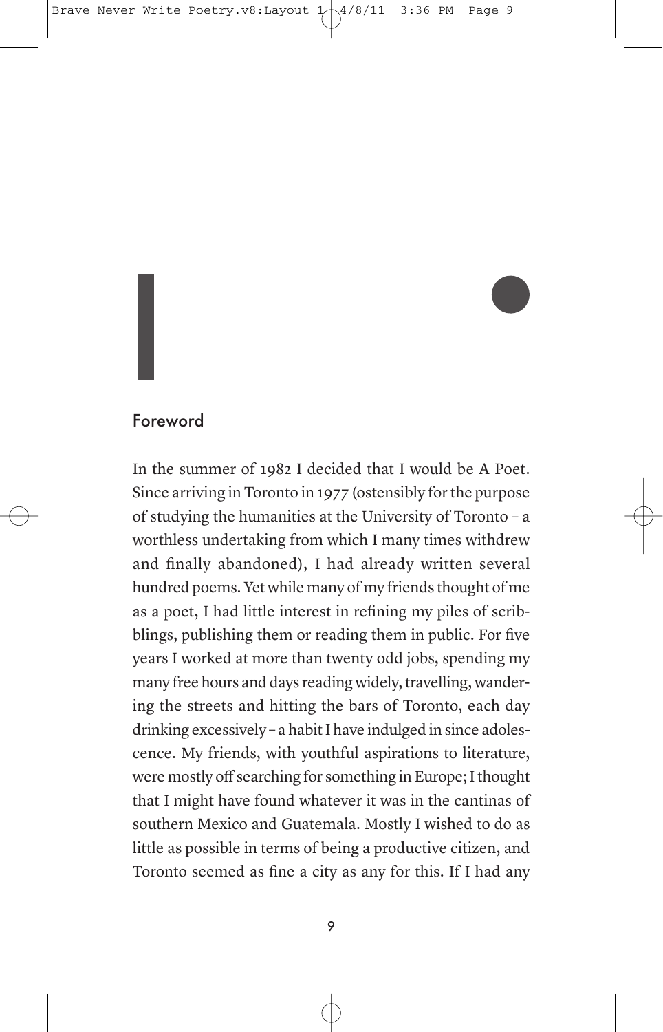## Foreword

In the summer of 1982 I decided that I would be A Poet. Since arriving in Toronto in 1977 (ostensibly for the purpose of studying the humanities at the University of Toronto – a worthless undertaking from which I many times withdrew and finally abandoned), i had already written several hundred poems. Yet while many of my friends thought of me as a poet, i had little interest in refining my piles of scribblings, publishing them or reading them in public. For five years I worked at more than twenty odd jobs, spending my many free hours and days reading widely, travelling, wandering the streets and hitting the bars of Toronto, each day drinking excessively - a habit I have indulged in since adolescence. My friends, with youthful aspirations to literature, were mostly off searching for something in Europe; I thought that I might have found whatever it was in the cantinas of southern Mexico and Guatemala. Mostly I wished to do as little as possible in terms of being a productive citizen, and Toronto seemed as fine a city as any for this. If I had any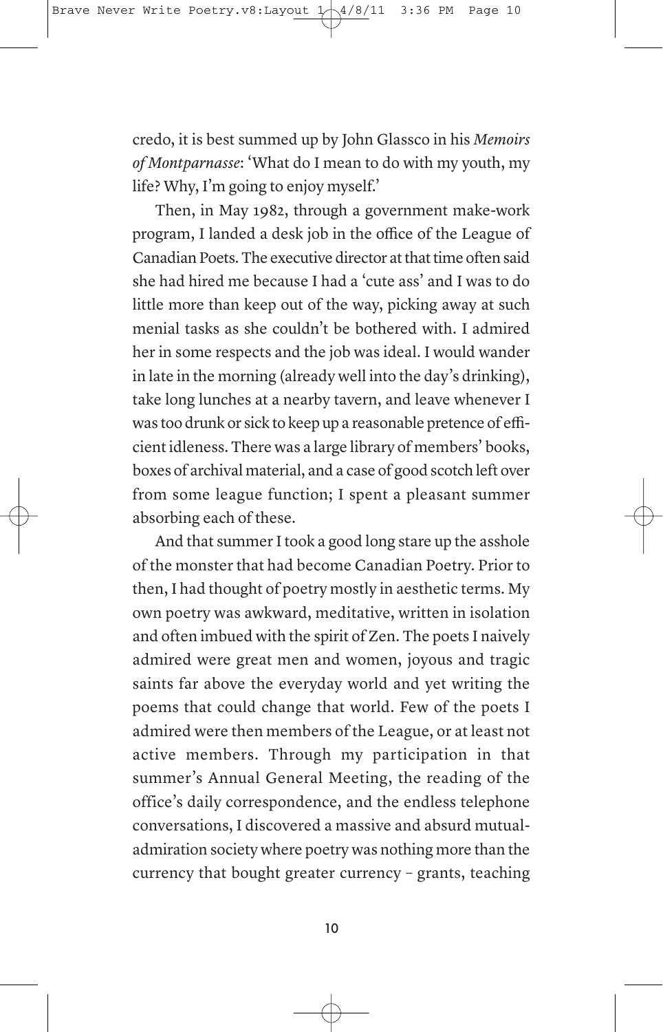credo, it is best summed up by John Glassco in his *Memoirs of Montparnasse*: 'What do i mean to do with my youth, my life? Why, I'm going to enjoy myself.'

Then, in May 1982, through a government make-work program, i landed a desk job in the office of the league of Canadian Poets. The executive director at that time often said she had hired me because I had a 'cute ass' and I was to do little more than keep out of the way, picking away at such menial tasks as she couldn't be bothered with. I admired her in some respects and the job was ideal. I would wander in late in the morning (already well into the day's drinking), take long lunches at a nearby tavern, and leave whenever i was too drunk or sick to keep up a reasonable pretence of efficient idleness. There was a large library of members' books, boxes of archival material, and a case of good scotch left over from some league function; I spent a pleasant summer absorbing each of these.

And that summer i took a good long stare up the asshole of the monster that had become Canadian Poetry. Prior to then, i had thought of poetry mostly in aesthetic terms. My own poetry was awkward, meditative, written in isolation and often imbued with the spirit of Zen. The poets I naively admired were great men and women, joyous and tragic saints far above the everyday world and yet writing the poems that could change that world. Few of the poets i admired were then members of the league, or at least not active members. Through my participation in that summer's Annual General Meeting, the reading of the office's daily correspondence, and the endless telephone conversations, i discovered a massive and absurd mutualadmiration society where poetry was nothing more than the currency that bought greater currency – grants, teaching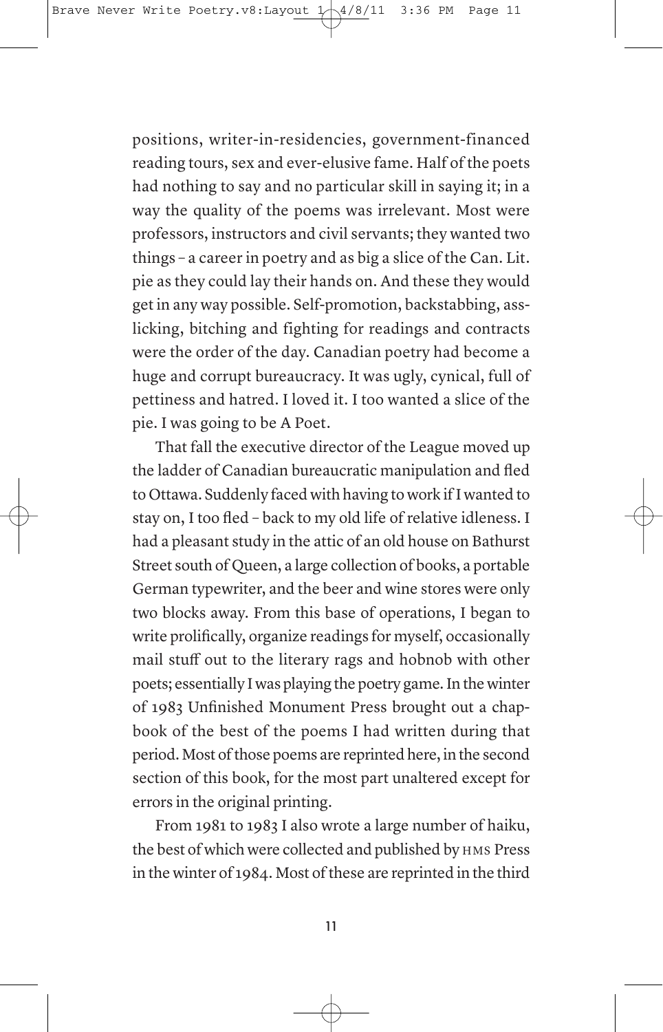positions, writer-in-residencies, government-financed reading tours, sex and ever-elusive fame. Half of the poets had nothing to say and no particular skill in saying it; in a way the quality of the poems was irrelevant. Most were professors, instructors and civil servants; they wanted two things – a career in poetry and as big a slice of the Can. Lit. pie as they could lay their hands on. And these they would get in any way possible. Self-promotion, backstabbing, asslicking, bitching and fighting for readings and contracts were the order of the day. Canadian poetry had become a huge and corrupt bureaucracy. it was ugly, cynical, full of pettiness and hatred. I loved it. I too wanted a slice of the pie. I was going to be A Poet.

That fall the executive director of the league moved up the ladder of Canadian bureaucratic manipulation and fled to Ottawa. Suddenly faced with having to work if I wanted to stay on, I too fled - back to my old life of relative idleness. I had a pleasant study in the attic of an old house on Bathurst Street south of Queen, a large collection of books, a portable German typewriter, and the beer and wine stores were only two blocks away. From this base of operations, I began to write prolifically, organize readings for myself, occasionally mail stuff out to the literary rags and hobnob with other poets; essentially I was playing the poetry game. In the winter of 1983 Unfinished Monument Press brought out a chapbook of the best of the poems I had written during that period. Most of those poems are reprinted here, in the second section of this book, for the most part unaltered except for errors in the original printing.

From 1981 to 1983 I also wrote a large number of haiku, the best of which were collected and published by HMS Press in the winter of 1984. Most of these are reprinted in the third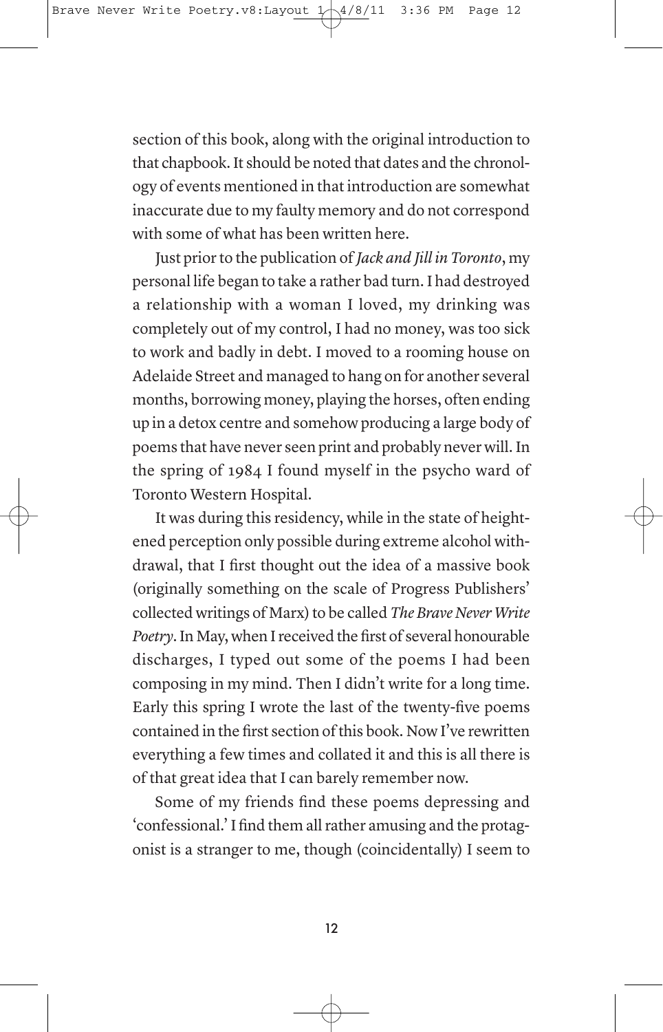section of this book, along with the original introduction to that chapbook. it should be noted that dates and the chronology of events mentioned in that introduction are somewhat inaccurate due to my faulty memory and do not correspond with some of what has been written here.

Just prior to the publication of*Jack and Jill in Toronto*, my personal life began to take a rather bad turn. i had destroyed a relationship with a woman I loved, my drinking was completely out of my control, i had no money, was too sick to work and badly in debt. I moved to a rooming house on Adelaide Street and managed to hang on for another several months, borrowing money, playing the horses, often ending up in a detox centre and somehow producing a large body of poems that have never seen print and probably never will. in the spring of 1984 i found myself in the psycho ward of Toronto Western Hospital.

It was during this residency, while in the state of heightened perception only possible during extreme alcohol withdrawal, that i first thought out the idea of a massive book (originally something on the scale of Progress Publishers' collected writings of Marx) to be called*The Brave Never Write* Poetry. In May, when I received the first of several honourable discharges, I typed out some of the poems I had been composing in my mind. Then I didn't write for a long time. Early this spring I wrote the last of the twenty-five poems contained in the first section of this book. Now I've rewritten everything a few times and collated it and this is all there is of that great idea that i can barely remember now.

Some of my friends find these poems depressing and 'confessional.' i find them all rather amusing and the protagonist is a stranger to me, though (coincidentally) I seem to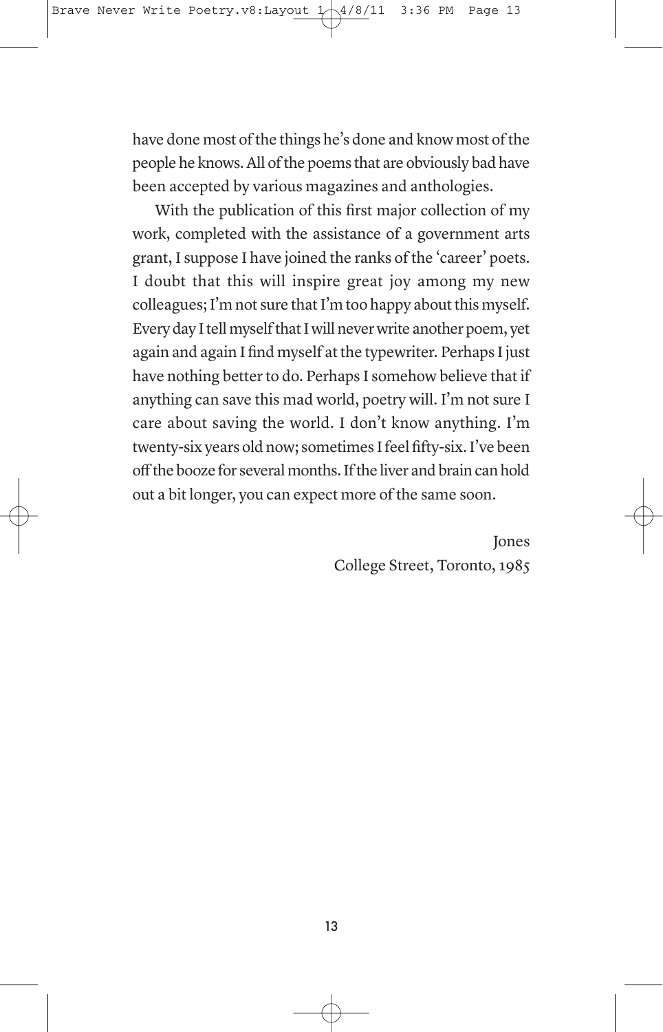have done most of the things he's done and know most of the people he knows. All of the poems that are obviously bad have been accepted by various magazines and anthologies.

With the publication of this first major collection of my work, completed with the assistance of a government arts grant, i suppose i have joined the ranks of the 'career' poets. I doubt that this will inspire great joy among my new colleagues; I'm not sure that I'm too happy about this myself. Every day I tell myself that I will never write another poem, yet again and again I find myself at the typewriter. Perhaps I just have nothing better to do. Perhaps I somehow believe that if anything can save this mad world, poetry will. I'm not sure I care about saving the world. I don't know anything. I'm twenty-six years old now; sometimes I feel fifty-six. I've been offthe booze for several months. if the liver and brain can hold out a bit longer, you can expect more of the same soon.

> Jones College Street, Toronto, 1985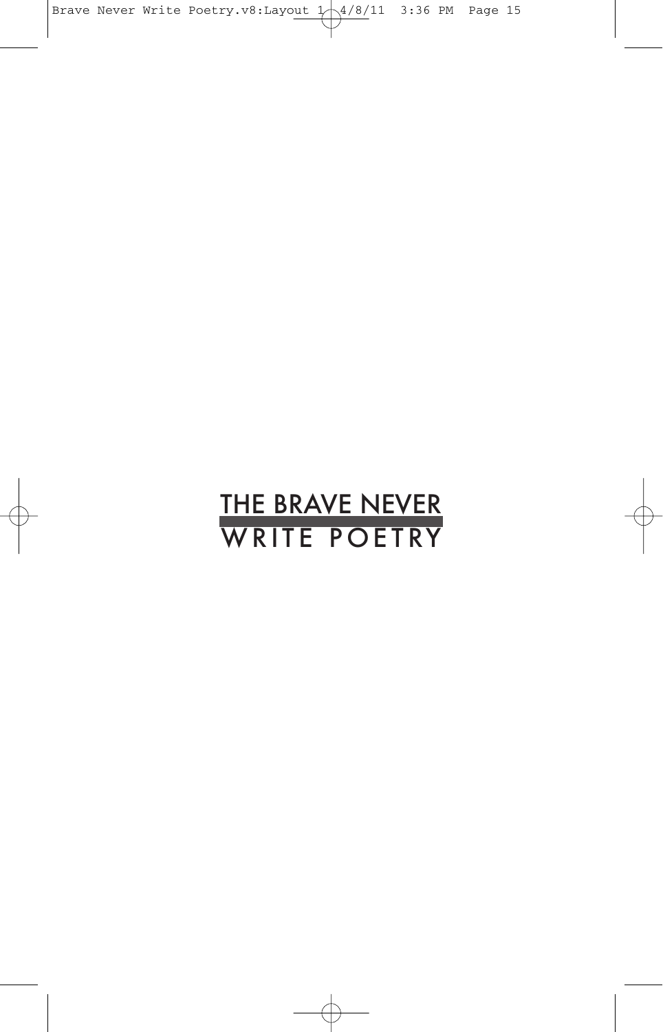# THE BRAVE NEVER WRITE POETRY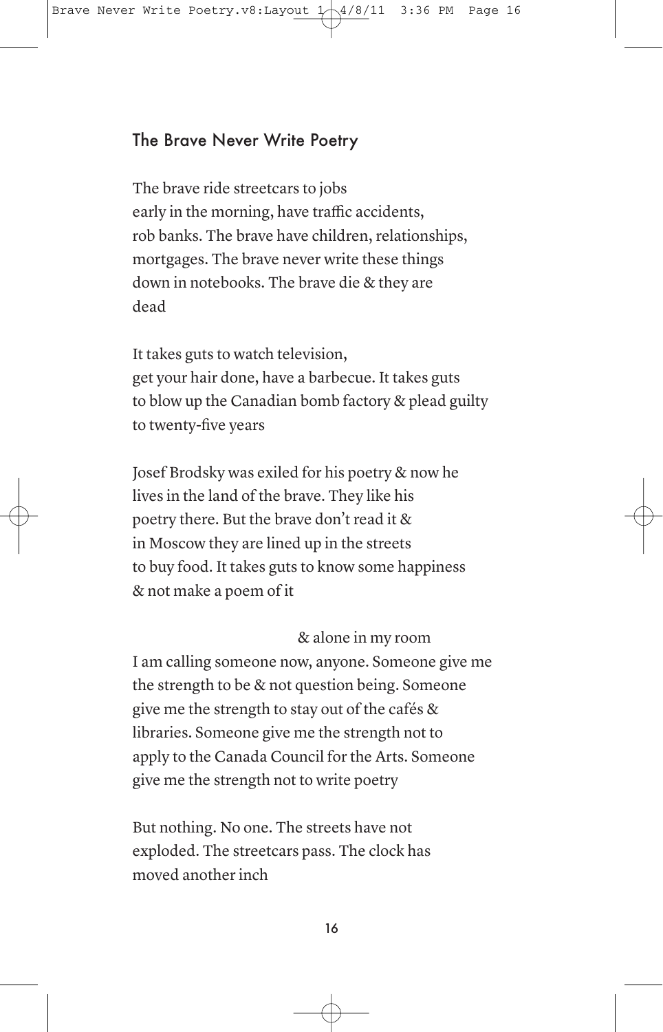## The Brave Never Write Poetry

The brave ride streetcars to jobs early in the morning, have traffic accidents, rob banks. The brave have children, relationships, mortgages. The brave never write these things down in notebooks. The brave die & they are dead

It takes guts to watch television, get your hair done, have a barbecue. it takes guts to blow up the Canadian bomb factory & plead guilty to twenty-five years

Josef Brodsky was exiled for his poetry & now he lives in the land of the brave. They like his poetry there. But the brave don't read it & in Moscow they are lined up in the streets to buy food. it takes guts to know some happiness & not make a poem of it

### & alone in my room

I am calling someone now, anyone. Someone give me the strength to be & not question being. Someone give me the strength to stay out of the cafés & libraries. Someone give me the strength not to apply to the Canada Council for the Arts. Someone give me the strength not to write poetry

But nothing. No one. The streets have not exploded. The streetcars pass. The clock has moved another inch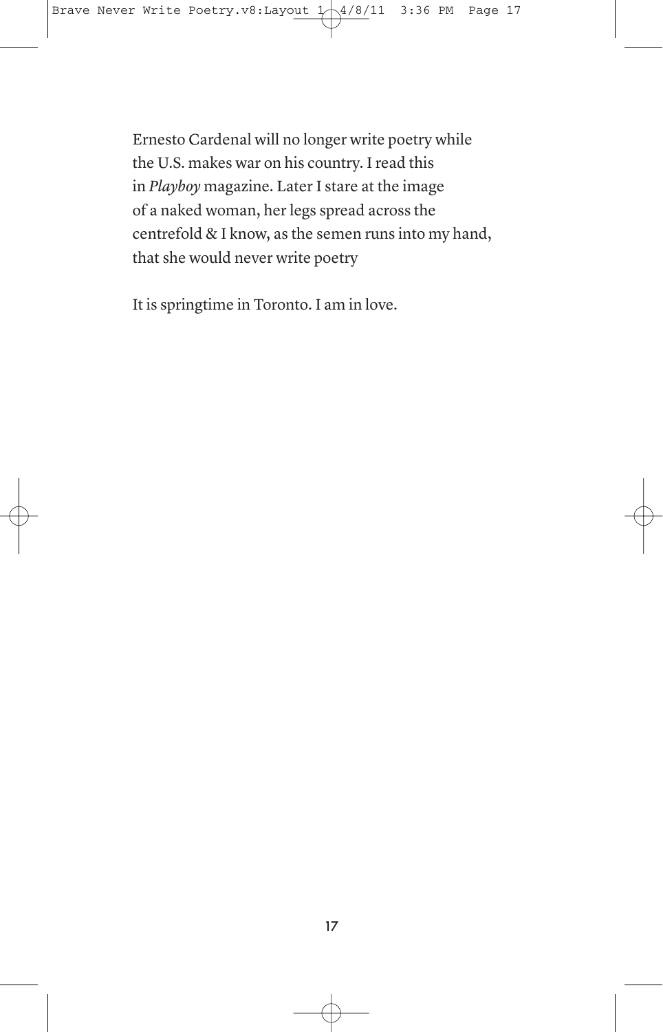Ernesto Cardenal will no longer write poetry while the U.S. makes war on his country. I read this in *Playboy* magazine. Later I stare at the image of a naked woman, her legs spread across the centrefold & i know, as the semen runs into my hand, that she would never write poetry

It is springtime in Toronto. I am in love.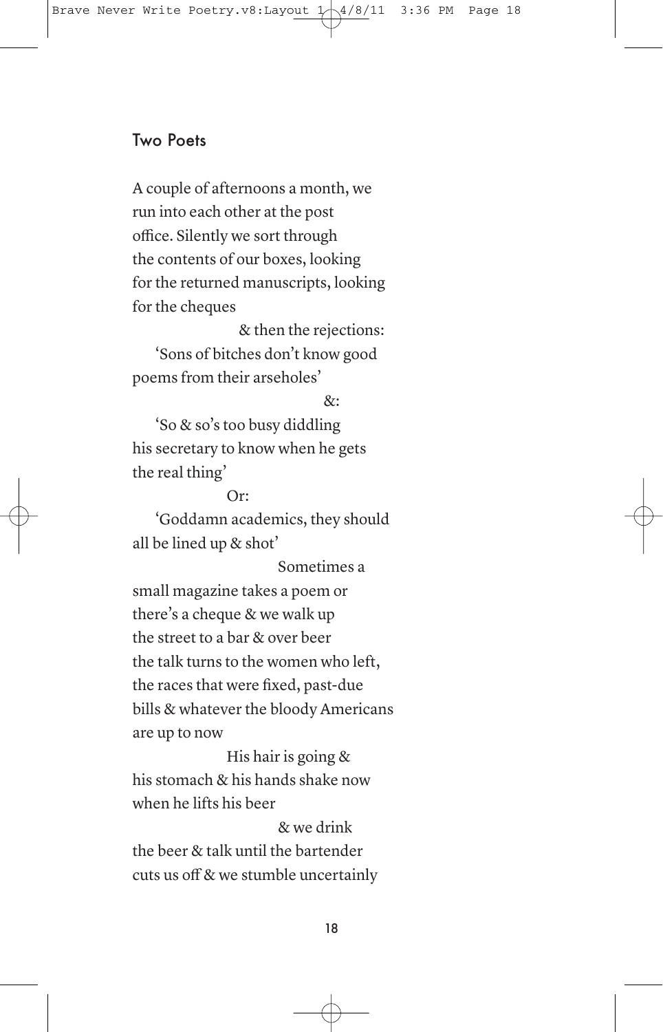#### Two Poets

A couple of afternoons a month, we run into each other at the post office. Silently we sort through the contents of our boxes, looking for the returned manuscripts, looking for the cheques

& then the rejections: 'Sons of bitches don't know good poems from their arseholes'

 $8r:$ 

'So & so's too busy diddling his secretary to know when he gets the real thing'

Or:

'Goddamn academics, they should all be lined up & shot'

Sometimes a small magazine takes a poem or there's a cheque & we walk up the street to a bar & over beer the talk turns to the women who left, the races that were fixed, past-due bills & whatever the bloody Americans are up to now

His hair is going & his stomach & his hands shake now when he lifts his beer

& we drink the beer & talk until the bartender cuts us off & we stumble uncertainly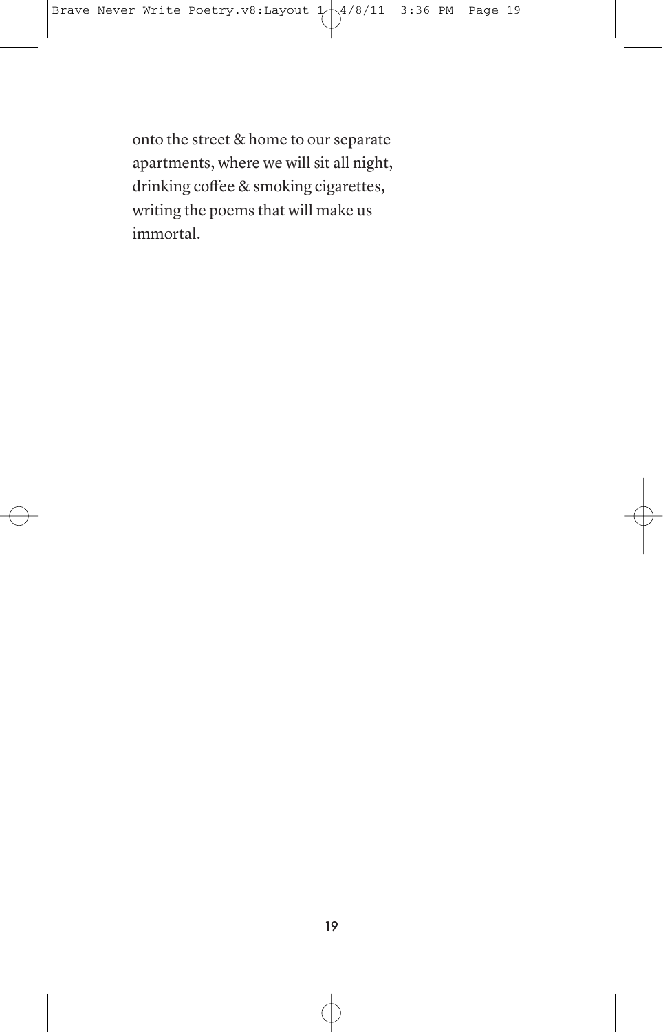onto the street & home to our separate apartments, where we will sit all night, drinking coffee & smoking cigarettes, writing the poems that will make us immortal.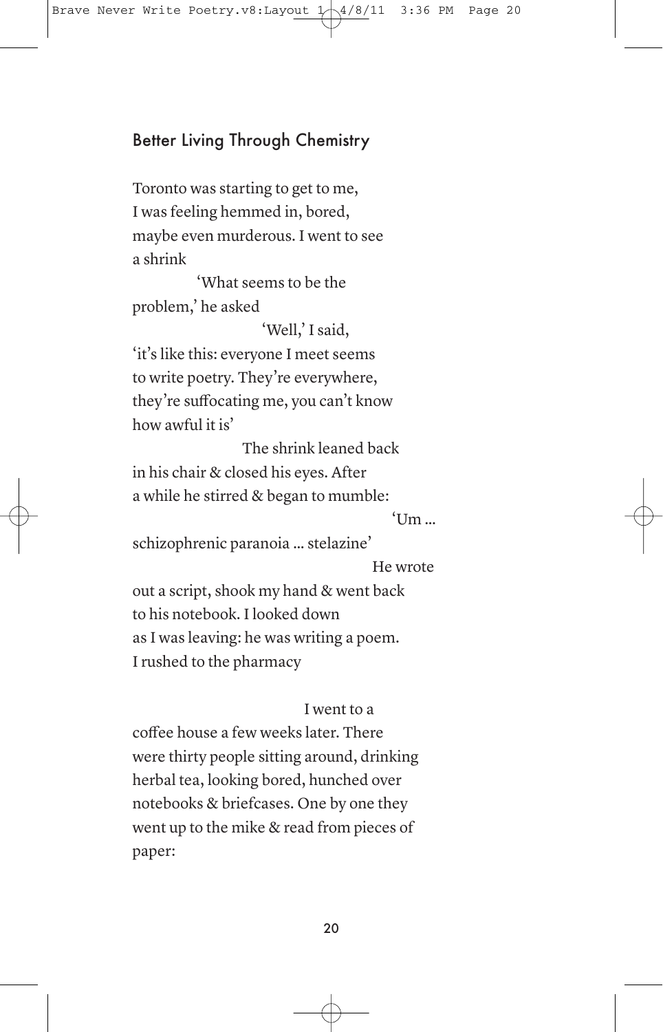# Better Living Through Chemistry

Toronto was starting to get to me, I was feeling hemmed in, bored, maybe even murderous. I went to see a shrink 'What seems to be the problem,' he asked 'Well,' I said, 'it's like this: everyone I meet seems to write poetry. They're everywhere, they're suffocating me, you can't know how awful it is' The shrink leaned back in his chair & closed his eyes. After a while he stirred & began to mumble:  $'$ I Im ... schizophrenic paranoia … stelazine' He wrote out a script, shook my hand & went back to his notebook. I looked down as I was leaving: he was writing a poem. i rushed to the pharmacy

### I went to a

coffee house a few weeks later. There were thirty people sitting around, drinking herbal tea, looking bored, hunched over notebooks & briefcases. One by one they went up to the mike & read from pieces of paper: